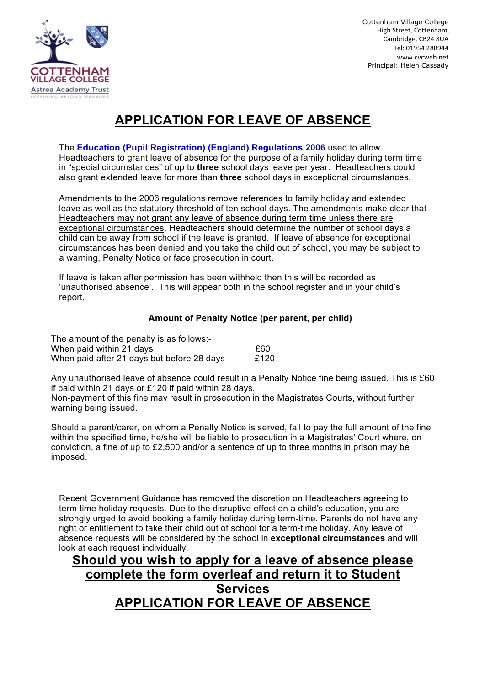

Cottenham Village College High Street, Cottenham. Cambridge, CB24 8UA Tel: 01954 288944 www.cvcweb.net Principal: Helen Cassady

## **APPLICATION FOR LEAVE OF ABSENCE**

The **Education (Pupil Registration) (England) Regulations 2006** used to allow Headteachers to grant leave of absence for the purpose of a family holiday during term time in "special circumstances" of up to **three** school days leave per year. Headteachers could also grant extended leave for more than **three** school days in exceptional circumstances.

Amendments to the 2006 regulations remove references to family holiday and extended leave as well as the statutory threshold of ten school days. The amendments make clear that Headteachers may not grant any leave of absence during term time unless there are exceptional circumstances. Headteachers should determine the number of school days a child can be away from school if the leave is granted. If leave of absence for exceptional circumstances has been denied and you take the child out of school, you may be subject to a warning, Penalty Notice or face prosecution in court.

If leave is taken after permission has been withheld then this will be recorded as 'unauthorised absence'. This will appear both in the school register and in your child's report.

## **Amount of Penalty Notice (per parent, per child)**

The amount of the penalty is as follows:- When paid within 21 days **EXALL 20** E60 When paid after 21 days but before 28 days E120

Any unauthorised leave of absence could result in a Penalty Notice fine being issued. This is £60 if paid within 21 days or £120 if paid within 28 days.

Non-payment of this fine may result in prosecution in the Magistrates Courts, without further warning being issued.

Should a parent/carer, on whom a Penalty Notice is served, fail to pay the full amount of the fine within the specified time, he/she will be liable to prosecution in a Magistrates' Court where, on conviction, a fine of up to £2,500 and/or a sentence of up to three months in prison may be imposed.

Recent Government Guidance has removed the discretion on Headteachers agreeing to term time holiday requests. Due to the disruptive effect on a child's education, you are strongly urged to avoid booking a family holiday during term-time. Parents do not have any right or entitlement to take their child out of school for a term-time holiday. Any leave of absence requests will be considered by the school in **exceptional circumstances** and will look at each request individually.

## **Should you wish to apply for a leave of absence please complete the form overleaf and return it to Student Services APPLICATION FOR LEAVE OF ABSENCE**